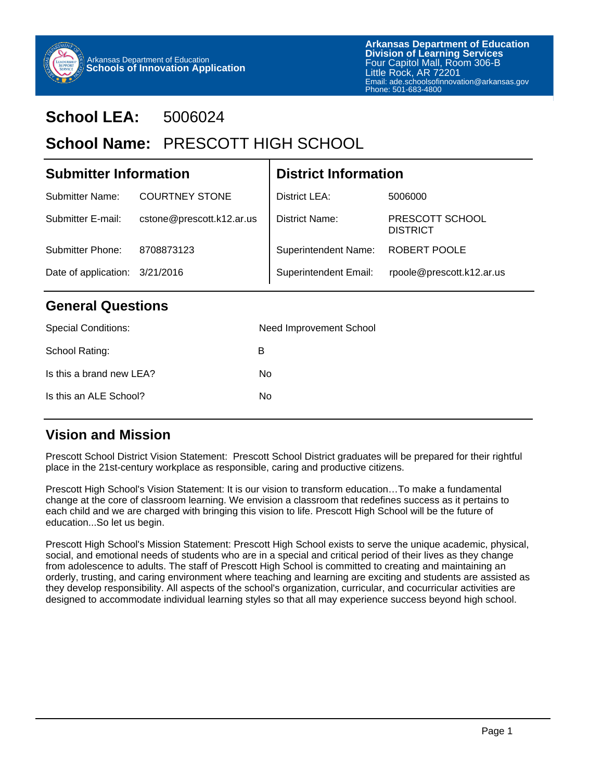

# **School LEA:** 5006024

# School Name: PRESCOTT HIGH SCHOOL

| <b>Submitter Information</b>   |                           | <b>District Information</b>  |                                    |  |
|--------------------------------|---------------------------|------------------------------|------------------------------------|--|
| <b>Submitter Name:</b>         | <b>COURTNEY STONE</b>     | District LEA:                | 5006000                            |  |
| Submitter E-mail:              | cstone@prescott.k12.ar.us | District Name:               | PRESCOTT SCHOOL<br><b>DISTRICT</b> |  |
| Submitter Phone:               | 8708873123                | <b>Superintendent Name:</b>  | <b>ROBERT POOLE</b>                |  |
| Date of application: 3/21/2016 |                           | <b>Superintendent Email:</b> | rpoole@prescott.k12.ar.us          |  |

## **General Questions**

| <b>Special Conditions:</b> | Need Improvement School |
|----------------------------|-------------------------|
| School Rating:             | в                       |
| Is this a brand new LEA?   | No                      |
| Is this an ALE School?     | No                      |
|                            |                         |

## **Vision and Mission**

Prescott School District Vision Statement: Prescott School District graduates will be prepared for their rightful place in the 21st-century workplace as responsible, caring and productive citizens.

Prescott High School's Vision Statement: It is our vision to transform education…To make a fundamental change at the core of classroom learning. We envision a classroom that redefines success as it pertains to each child and we are charged with bringing this vision to life. Prescott High School will be the future of education...So let us begin.

Prescott High School's Mission Statement: Prescott High School exists to serve the unique academic, physical, social, and emotional needs of students who are in a special and critical period of their lives as they change from adolescence to adults. The staff of Prescott High School is committed to creating and maintaining an orderly, trusting, and caring environment where teaching and learning are exciting and students are assisted as they develop responsibility. All aspects of the school's organization, curricular, and cocurricular activities are designed to accommodate individual learning styles so that all may experience success beyond high school.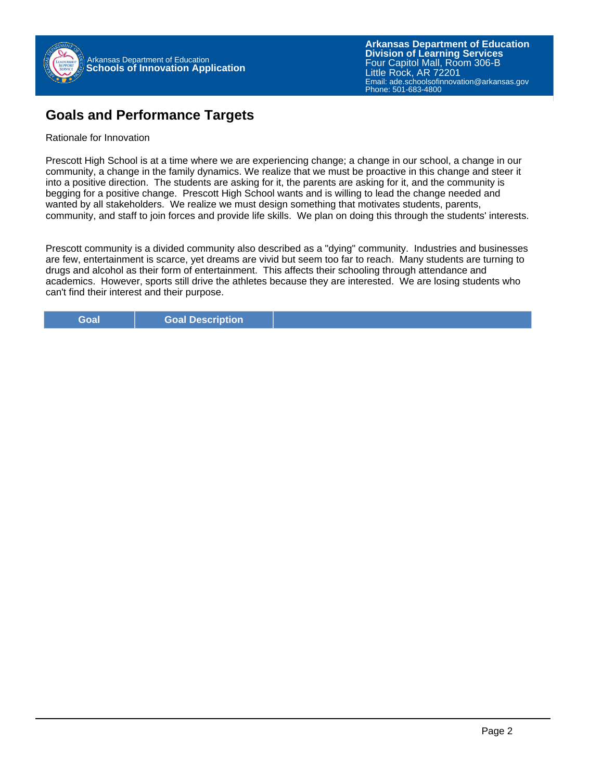

**Arkansas Department of Education** Email: ade.schoolsofinnovation@arkansas.gov **Division of Learning Services** Four Capitol Mall, Room 306-B Little Rock, AR 72201 Phone: 501-683-4800

## **Goals and Performance Targets**

#### Rationale for Innovation

Prescott High School is at a time where we are experiencing change; a change in our school, a change in our community, a change in the family dynamics. We realize that we must be proactive in this change and steer it into a positive direction. The students are asking for it, the parents are asking for it, and the community is begging for a positive change. Prescott High School wants and is willing to lead the change needed and wanted by all stakeholders. We realize we must design something that motivates students, parents, community, and staff to join forces and provide life skills. We plan on doing this through the students' interests.

Prescott community is a divided community also described as a "dying" community. Industries and businesses are few, entertainment is scarce, yet dreams are vivid but seem too far to reach. Many students are turning to drugs and alcohol as their form of entertainment. This affects their schooling through attendance and academics. However, sports still drive the athletes because they are interested. We are losing students who can't find their interest and their purpose.

**Goal Goal Description**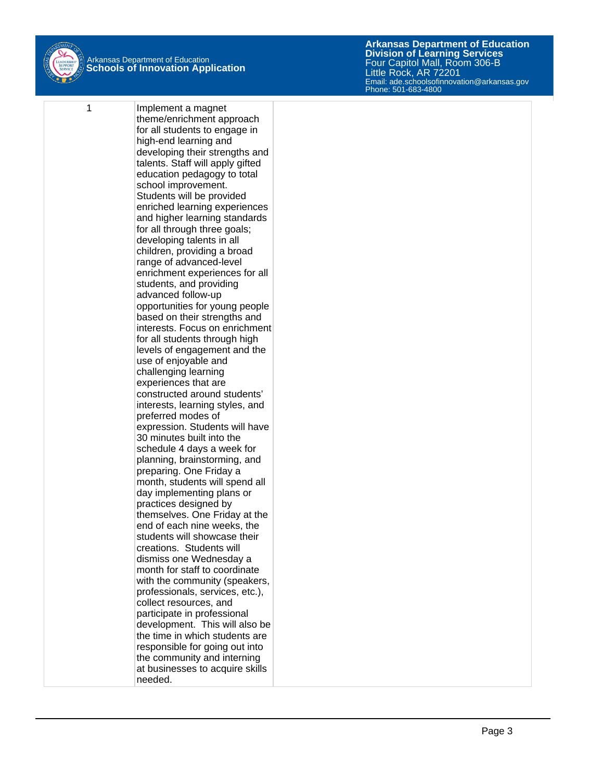

1 **Implement a magnet** theme/enrichment approach for all students to engage in high-end learning and developing their strengths and talents. Staff will apply gifted education pedagogy to total school improvement. Students will be provided enriched learning experiences and higher learning standards for all through three goals; developing talents in all children, providing a broad range of advanced-level enrichment experiences for all students, and providing advanced follow-up opportunities for young people based on their strengths and interests. Focus on enrichment for all students through high levels of engagement and the use of enjoyable and challenging learning experiences that are constructed around students' interests, learning styles, and preferred modes of expression. Students will have 30 minutes built into the schedule 4 days a week for planning, brainstorming, and preparing. One Friday a month, students will spend all day implementing plans or practices designed by themselves. One Friday at the end of each nine weeks, the students will showcase their creations. Students will dismiss one Wednesday a month for staff to coordinate with the community (speakers, professionals, services, etc.), collect resources, and participate in professional development. This will also be the time in which students are responsible for going out into the community and interning at businesses to acquire skills needed.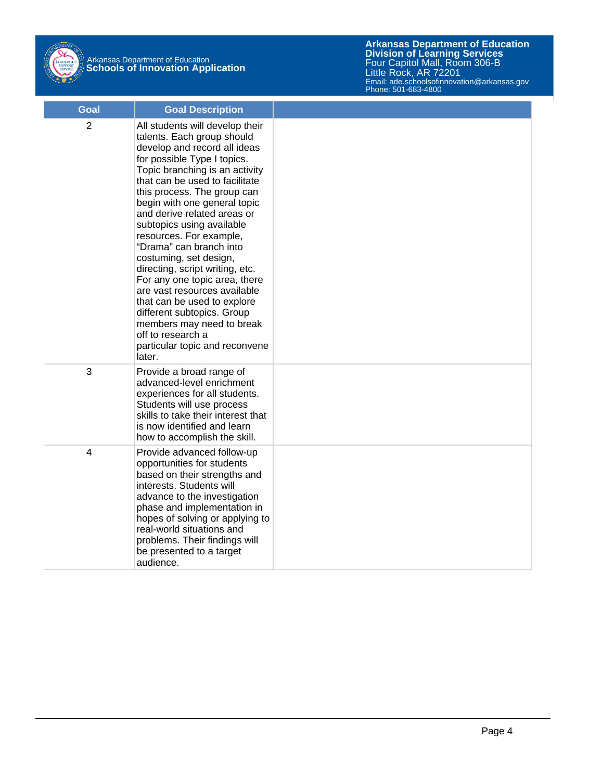

# Arkansas Department of Education **Schools of Innovation Application**

| <b>Goal</b>    | <b>Goal Description</b>                                                                                                                                                                                                                                                                                                                                                                                                                                                                                                                                                                                                                                                    |  |
|----------------|----------------------------------------------------------------------------------------------------------------------------------------------------------------------------------------------------------------------------------------------------------------------------------------------------------------------------------------------------------------------------------------------------------------------------------------------------------------------------------------------------------------------------------------------------------------------------------------------------------------------------------------------------------------------------|--|
| 2              | All students will develop their<br>talents. Each group should<br>develop and record all ideas<br>for possible Type I topics.<br>Topic branching is an activity<br>that can be used to facilitate<br>this process. The group can<br>begin with one general topic<br>and derive related areas or<br>subtopics using available<br>resources. For example,<br>"Drama" can branch into<br>costuming, set design,<br>directing, script writing, etc.<br>For any one topic area, there<br>are vast resources available<br>that can be used to explore<br>different subtopics. Group<br>members may need to break<br>off to research a<br>particular topic and reconvene<br>later. |  |
| 3              | Provide a broad range of<br>advanced-level enrichment<br>experiences for all students.<br>Students will use process<br>skills to take their interest that<br>is now identified and learn<br>how to accomplish the skill.                                                                                                                                                                                                                                                                                                                                                                                                                                                   |  |
| $\overline{4}$ | Provide advanced follow-up<br>opportunities for students<br>based on their strengths and<br>interests. Students will<br>advance to the investigation<br>phase and implementation in<br>hopes of solving or applying to<br>real-world situations and<br>problems. Their findings will<br>be presented to a target<br>audience.                                                                                                                                                                                                                                                                                                                                              |  |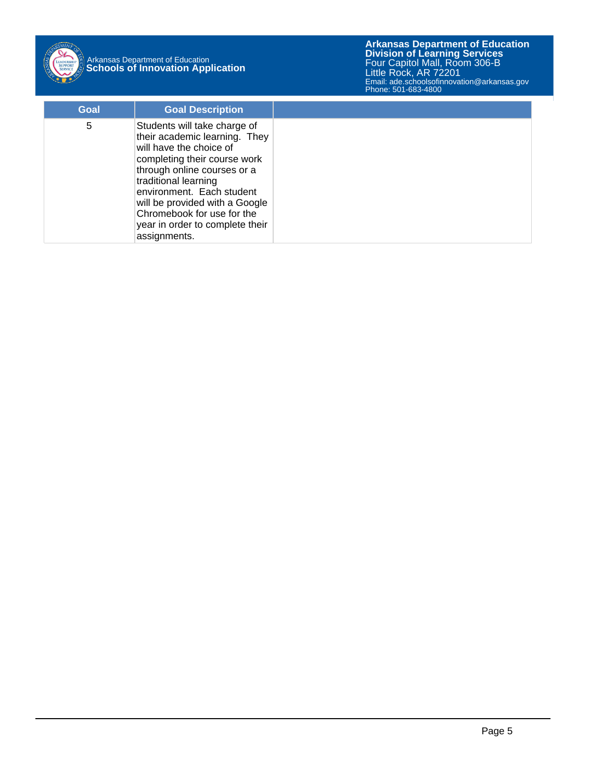

# Arkansas Department of Education **Schools of Innovation Application**

**Arkansas Department of Education** Email: ade.schoolsofinnovation@arkansas.gov **Division of Learning Services** Four Capitol Mall, Room 306-B Little Rock, AR 72201 Phone: 501-683-4800

| Goal | <b>Goal Description</b>                                                                                                                                                                                                                                                                                                         |
|------|---------------------------------------------------------------------------------------------------------------------------------------------------------------------------------------------------------------------------------------------------------------------------------------------------------------------------------|
| 5    | Students will take charge of<br>their academic learning. They<br>will have the choice of<br>completing their course work<br>through online courses or a<br>traditional learning<br>environment. Each student<br>will be provided with a Google<br>Chromebook for use for the<br>year in order to complete their<br>assignments. |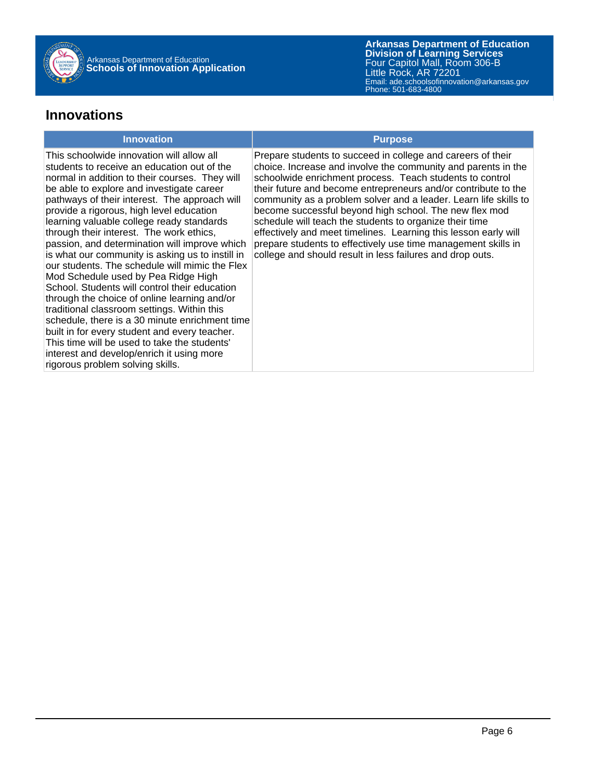

**Arkansas Department of Education** Email: ade.schoolsofinnovation@arkansas.gov **Division of Learning Services** Four Capitol Mall, Room 306-B Little Rock, AR 72201 Phone: 501-683-4800

## **Innovations**

#### **Innovation Purpose**

This schoolwide innovation will allow all students to receive an education out of the normal in addition to their courses. They will be able to explore and investigate career pathways of their interest. The approach will provide a rigorous, high level education learning valuable college ready standards through their interest. The work ethics, passion, and determination will improve which is what our community is asking us to instill in our students. The schedule will mimic the Flex Mod Schedule used by Pea Ridge High School. Students will control their education through the choice of online learning and/or traditional classroom settings. Within this schedule, there is a 30 minute enrichment time built in for every student and every teacher. This time will be used to take the students' interest and develop/enrich it using more rigorous problem solving skills.

Prepare students to succeed in college and careers of their choice. Increase and involve the community and parents in the schoolwide enrichment process. Teach students to control their future and become entrepreneurs and/or contribute to the community as a problem solver and a leader. Learn life skills to become successful beyond high school. The new flex mod schedule will teach the students to organize their time effectively and meet timelines. Learning this lesson early will prepare students to effectively use time management skills in college and should result in less failures and drop outs.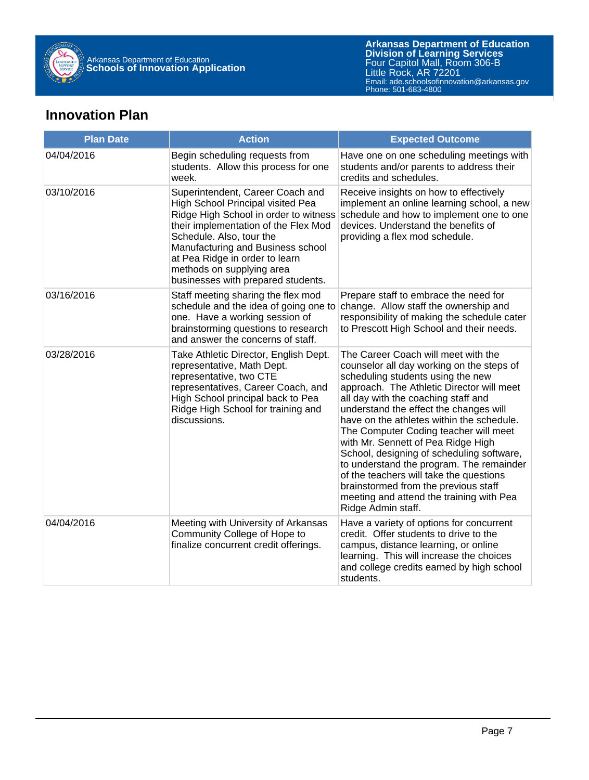

## **Innovation Plan**

| <b>Plan Date</b> | <b>Action</b>                                                                                                                                                                                                                                                                                                                | <b>Expected Outcome</b>                                                                                                                                                                                                                                                                                                                                                                                                                                                                                                                                                                                                       |
|------------------|------------------------------------------------------------------------------------------------------------------------------------------------------------------------------------------------------------------------------------------------------------------------------------------------------------------------------|-------------------------------------------------------------------------------------------------------------------------------------------------------------------------------------------------------------------------------------------------------------------------------------------------------------------------------------------------------------------------------------------------------------------------------------------------------------------------------------------------------------------------------------------------------------------------------------------------------------------------------|
| 04/04/2016       | Begin scheduling requests from<br>students. Allow this process for one<br>week.                                                                                                                                                                                                                                              | Have one on one scheduling meetings with<br>students and/or parents to address their<br>credits and schedules.                                                                                                                                                                                                                                                                                                                                                                                                                                                                                                                |
| 03/10/2016       | Superintendent, Career Coach and<br>High School Principal visited Pea<br>Ridge High School in order to witness<br>their implementation of the Flex Mod<br>Schedule. Also, tour the<br>Manufacturing and Business school<br>at Pea Ridge in order to learn<br>methods on supplying area<br>businesses with prepared students. | Receive insights on how to effectively<br>implement an online learning school, a new<br>schedule and how to implement one to one<br>devices. Understand the benefits of<br>providing a flex mod schedule.                                                                                                                                                                                                                                                                                                                                                                                                                     |
| 03/16/2016       | Staff meeting sharing the flex mod<br>schedule and the idea of going one to<br>one. Have a working session of<br>brainstorming questions to research<br>and answer the concerns of staff.                                                                                                                                    | Prepare staff to embrace the need for<br>change. Allow staff the ownership and<br>responsibility of making the schedule cater<br>to Prescott High School and their needs.                                                                                                                                                                                                                                                                                                                                                                                                                                                     |
| 03/28/2016       | Take Athletic Director, English Dept.<br>representative, Math Dept.<br>representative, two CTE<br>representatives, Career Coach, and<br>High School principal back to Pea<br>Ridge High School for training and<br>discussions.                                                                                              | The Career Coach will meet with the<br>counselor all day working on the steps of<br>scheduling students using the new<br>approach. The Athletic Director will meet<br>all day with the coaching staff and<br>understand the effect the changes will<br>have on the athletes within the schedule.<br>The Computer Coding teacher will meet<br>with Mr. Sennett of Pea Ridge High<br>School, designing of scheduling software,<br>to understand the program. The remainder<br>of the teachers will take the questions<br>brainstormed from the previous staff<br>meeting and attend the training with Pea<br>Ridge Admin staff. |
| 04/04/2016       | Meeting with University of Arkansas<br>Community College of Hope to<br>finalize concurrent credit offerings.                                                                                                                                                                                                                 | Have a variety of options for concurrent<br>credit. Offer students to drive to the<br>campus, distance learning, or online<br>learning. This will increase the choices<br>and college credits earned by high school<br>students.                                                                                                                                                                                                                                                                                                                                                                                              |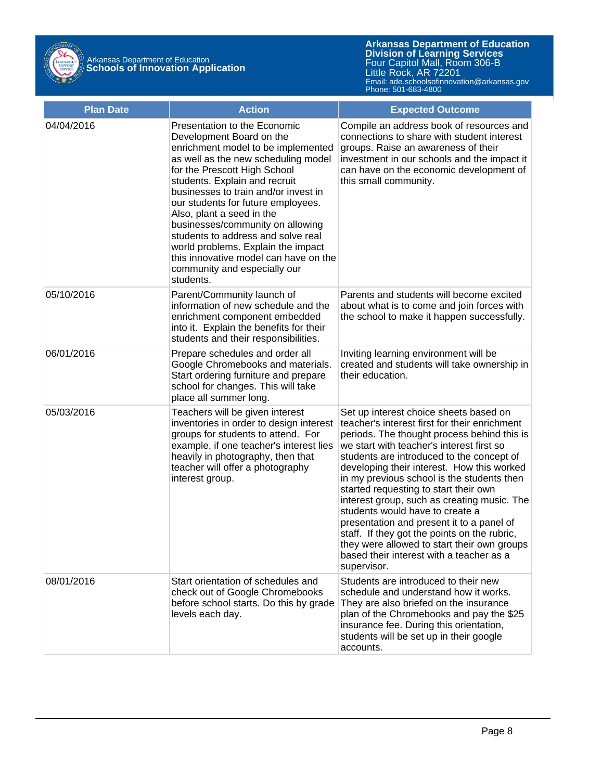

| <b>Plan Date</b> | <b>Action</b>                                                                                                                                                                                                                                                                                                                                                                                                                                                                                                           | <b>Expected Outcome</b>                                                                                                                                                                                                                                                                                                                                                                                                                                                                                                                                                                                                                                        |
|------------------|-------------------------------------------------------------------------------------------------------------------------------------------------------------------------------------------------------------------------------------------------------------------------------------------------------------------------------------------------------------------------------------------------------------------------------------------------------------------------------------------------------------------------|----------------------------------------------------------------------------------------------------------------------------------------------------------------------------------------------------------------------------------------------------------------------------------------------------------------------------------------------------------------------------------------------------------------------------------------------------------------------------------------------------------------------------------------------------------------------------------------------------------------------------------------------------------------|
| 04/04/2016       | Presentation to the Economic<br>Development Board on the<br>enrichment model to be implemented<br>as well as the new scheduling model<br>for the Prescott High School<br>students. Explain and recruit<br>businesses to train and/or invest in<br>our students for future employees.<br>Also, plant a seed in the<br>businesses/community on allowing<br>students to address and solve real<br>world problems. Explain the impact<br>this innovative model can have on the<br>community and especially our<br>students. | Compile an address book of resources and<br>connections to share with student interest<br>groups. Raise an awareness of their<br>investment in our schools and the impact it<br>can have on the economic development of<br>this small community.                                                                                                                                                                                                                                                                                                                                                                                                               |
| 05/10/2016       | Parent/Community launch of<br>information of new schedule and the<br>enrichment component embedded<br>into it. Explain the benefits for their<br>students and their responsibilities.                                                                                                                                                                                                                                                                                                                                   | Parents and students will become excited<br>about what is to come and join forces with<br>the school to make it happen successfully.                                                                                                                                                                                                                                                                                                                                                                                                                                                                                                                           |
| 06/01/2016       | Prepare schedules and order all<br>Google Chromebooks and materials.<br>Start ordering furniture and prepare<br>school for changes. This will take<br>place all summer long.                                                                                                                                                                                                                                                                                                                                            | Inviting learning environment will be<br>created and students will take ownership in<br>their education.                                                                                                                                                                                                                                                                                                                                                                                                                                                                                                                                                       |
| 05/03/2016       | Teachers will be given interest<br>inventories in order to design interest<br>groups for students to attend. For<br>example, if one teacher's interest lies<br>heavily in photography, then that<br>teacher will offer a photography<br>interest group.                                                                                                                                                                                                                                                                 | Set up interest choice sheets based on<br>teacher's interest first for their enrichment<br>periods. The thought process behind this is<br>we start with teacher's interest first so<br>students are introduced to the concept of<br>developing their interest. How this worked<br>in my previous school is the students then<br>started requesting to start their own<br>interest group, such as creating music. The<br>students would have to create a<br>presentation and present it to a panel of<br>staff. If they got the points on the rubric,<br>they were allowed to start their own groups<br>based their interest with a teacher as a<br>supervisor. |
| 08/01/2016       | Start orientation of schedules and<br>check out of Google Chromebooks<br>before school starts. Do this by grade<br>levels each day.                                                                                                                                                                                                                                                                                                                                                                                     | Students are introduced to their new<br>schedule and understand how it works.<br>They are also briefed on the insurance<br>plan of the Chromebooks and pay the \$25<br>insurance fee. During this orientation,<br>students will be set up in their google<br>accounts.                                                                                                                                                                                                                                                                                                                                                                                         |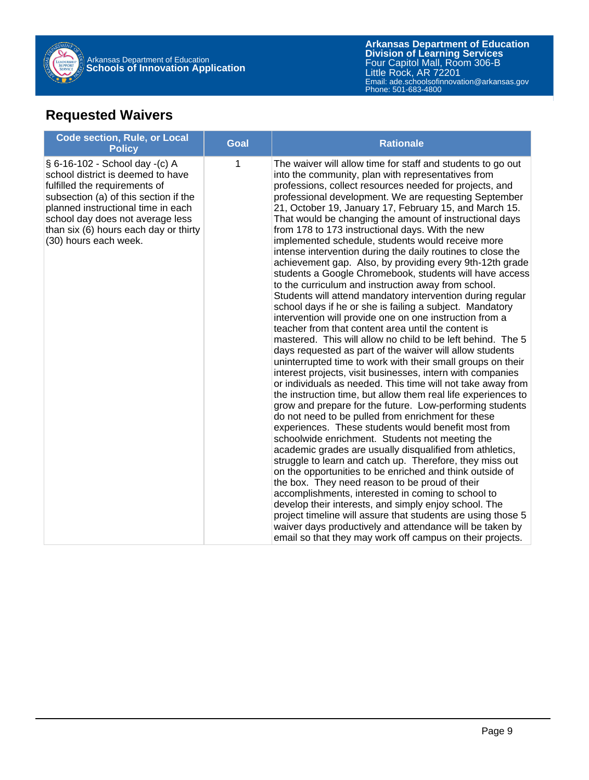

## **Requested Waivers**

| <b>Code section, Rule, or Local</b><br><b>Policy</b>                                                                                                                                                                                                                                      | <b>Goal</b> | <b>Rationale</b>                                                                                                                                                                                                                                                                                                                                                                                                                                                                                                                                                                                                                                                                                                                                                                                                                                                                                                                                                                                                                                                                                                                                                                                                                                                                                                                                                                                                                                                                                                                                                                                                                                                                                                                                                                                                                                                                                                                                                                                                                                                                                                               |
|-------------------------------------------------------------------------------------------------------------------------------------------------------------------------------------------------------------------------------------------------------------------------------------------|-------------|--------------------------------------------------------------------------------------------------------------------------------------------------------------------------------------------------------------------------------------------------------------------------------------------------------------------------------------------------------------------------------------------------------------------------------------------------------------------------------------------------------------------------------------------------------------------------------------------------------------------------------------------------------------------------------------------------------------------------------------------------------------------------------------------------------------------------------------------------------------------------------------------------------------------------------------------------------------------------------------------------------------------------------------------------------------------------------------------------------------------------------------------------------------------------------------------------------------------------------------------------------------------------------------------------------------------------------------------------------------------------------------------------------------------------------------------------------------------------------------------------------------------------------------------------------------------------------------------------------------------------------------------------------------------------------------------------------------------------------------------------------------------------------------------------------------------------------------------------------------------------------------------------------------------------------------------------------------------------------------------------------------------------------------------------------------------------------------------------------------------------------|
| § 6-16-102 - School day -(c) A<br>school district is deemed to have<br>fulfilled the requirements of<br>subsection (a) of this section if the<br>planned instructional time in each<br>school day does not average less<br>than six (6) hours each day or thirty<br>(30) hours each week. | 1           | The waiver will allow time for staff and students to go out<br>into the community, plan with representatives from<br>professions, collect resources needed for projects, and<br>professional development. We are requesting September<br>21, October 19, January 17, February 15, and March 15.<br>That would be changing the amount of instructional days<br>from 178 to 173 instructional days. With the new<br>implemented schedule, students would receive more<br>intense intervention during the daily routines to close the<br>achievement gap. Also, by providing every 9th-12th grade<br>students a Google Chromebook, students will have access<br>to the curriculum and instruction away from school.<br>Students will attend mandatory intervention during regular<br>school days if he or she is failing a subject. Mandatory<br>intervention will provide one on one instruction from a<br>teacher from that content area until the content is<br>mastered. This will allow no child to be left behind. The 5<br>days requested as part of the waiver will allow students<br>uninterrupted time to work with their small groups on their<br>interest projects, visit businesses, intern with companies<br>or individuals as needed. This time will not take away from<br>the instruction time, but allow them real life experiences to<br>grow and prepare for the future. Low-performing students<br>do not need to be pulled from enrichment for these<br>experiences. These students would benefit most from<br>schoolwide enrichment. Students not meeting the<br>academic grades are usually disqualified from athletics,<br>struggle to learn and catch up. Therefore, they miss out<br>on the opportunities to be enriched and think outside of<br>the box. They need reason to be proud of their<br>accomplishments, interested in coming to school to<br>develop their interests, and simply enjoy school. The<br>project timeline will assure that students are using those 5<br>waiver days productively and attendance will be taken by<br>email so that they may work off campus on their projects. |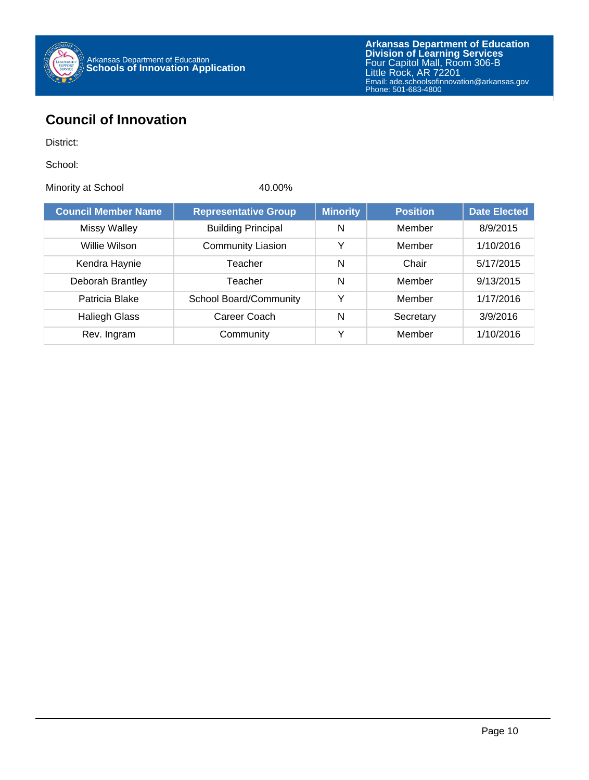

## **Council of Innovation**

District:

School:

Minority at School 40.00%

| <b>Council Member Name</b> | <b>Representative Group</b>   | <b>Minority</b> | <b>Position</b> | <b>Date Elected</b> |
|----------------------------|-------------------------------|-----------------|-----------------|---------------------|
| <b>Missy Walley</b>        | <b>Building Principal</b>     | N               | Member          | 8/9/2015            |
| Willie Wilson              | <b>Community Liasion</b>      | Y               | Member          | 1/10/2016           |
| Kendra Haynie              | Teacher                       | N               | Chair           | 5/17/2015           |
| Deborah Brantley           | Teacher                       | N               | Member          | 9/13/2015           |
| Patricia Blake             | <b>School Board/Community</b> | ٧               | Member          | 1/17/2016           |
| <b>Haliegh Glass</b>       | Career Coach                  | N               | Secretary       | 3/9/2016            |
| Rev. Ingram                | Community                     | v               | Member          | 1/10/2016           |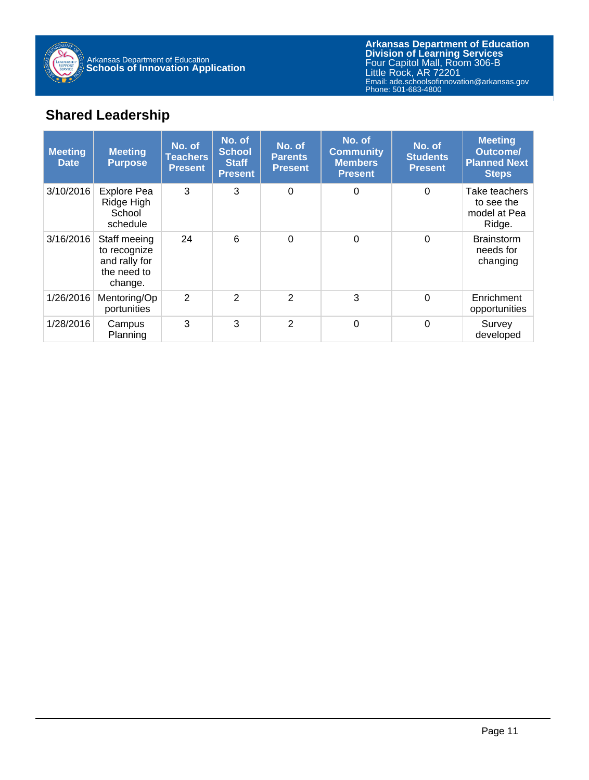

**Arkansas Department of Education** Email: ade.schoolsofinnovation@arkansas.gov **Division of Learning Services** Four Capitol Mall, Room 306-B Little Rock, AR 72201 Phone: 501-683-4800

## **Shared Leadership**

| <b>Meeting</b><br><b>Date</b> | <b>Meeting</b><br><b>Purpose</b>                                        | No. of<br><b>Teachers</b><br><b>Present</b> | No. of<br><b>School</b><br><b>Staff</b><br><b>Present</b> | No. of<br><b>Parents</b><br><b>Present</b> | No. of<br><b>Community</b><br><b>Members</b><br><b>Present</b> | No. of<br><b>Students</b><br><b>Present</b> | <b>Meeting</b><br><b>Outcome/</b><br><b>Planned Next</b><br><b>Steps</b> |
|-------------------------------|-------------------------------------------------------------------------|---------------------------------------------|-----------------------------------------------------------|--------------------------------------------|----------------------------------------------------------------|---------------------------------------------|--------------------------------------------------------------------------|
| 3/10/2016                     | <b>Explore Pea</b><br>Ridge High<br>School<br>schedule                  | 3                                           | 3                                                         | $\Omega$                                   | $\Omega$                                                       | $\Omega$                                    | Take teachers<br>to see the<br>model at Pea<br>Ridge.                    |
| 3/16/2016                     | Staff meeing<br>to recognize<br>and rally for<br>the need to<br>change. | 24                                          | 6                                                         | $\Omega$                                   | $\Omega$                                                       | $\Omega$                                    | <b>Brainstorm</b><br>needs for<br>changing                               |
| 1/26/2016                     | Mentoring/Op<br>portunities                                             | 2                                           | $\overline{2}$                                            | $\overline{2}$                             | 3                                                              | $\mathbf 0$                                 | Enrichment<br>opportunities                                              |
| 1/28/2016                     | Campus<br>Planning                                                      | 3                                           | 3                                                         | $\overline{2}$                             | $\Omega$                                                       | $\mathbf 0$                                 | Survey<br>developed                                                      |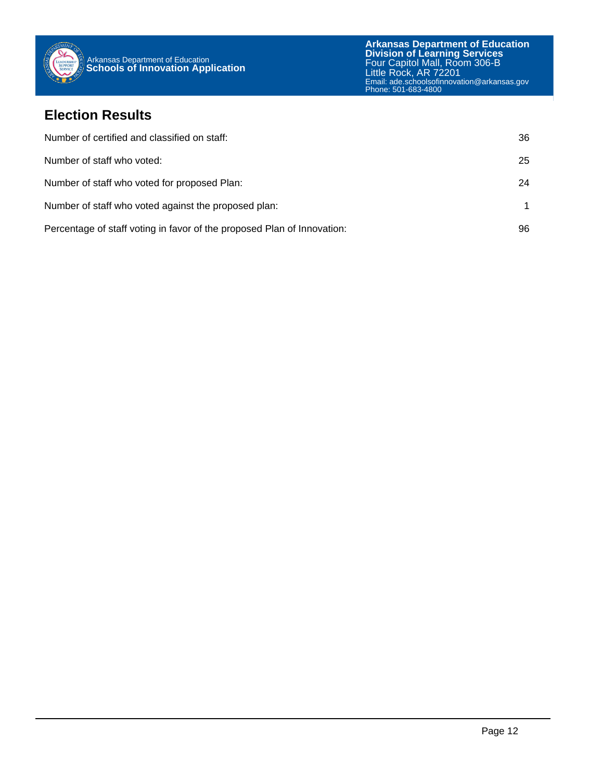

## **Election Results**

| Number of certified and classified on staff:                            | 36 |
|-------------------------------------------------------------------------|----|
| Number of staff who voted:                                              | 25 |
| Number of staff who voted for proposed Plan:                            | 24 |
| Number of staff who voted against the proposed plan:                    |    |
| Percentage of staff voting in favor of the proposed Plan of Innovation: | 96 |